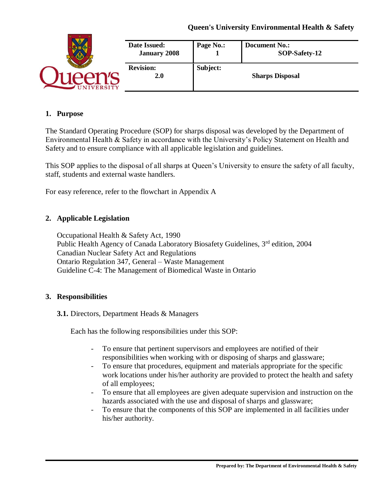|                  | Date Issued:<br><b>January 2008</b> | Page No.: | <b>Document No.:</b><br>SOP-Safety-12 |
|------------------|-------------------------------------|-----------|---------------------------------------|
| <b>JIVERSITY</b> | <b>Revision:</b><br>2.0             | Subject:  | <b>Sharps Disposal</b>                |

#### **1. Purpose**

The Standard Operating Procedure (SOP) for sharps disposal was developed by the Department of Environmental Health & Safety in accordance with the University's Policy Statement on Health and Safety and to ensure compliance with all applicable legislation and guidelines.

This SOP applies to the disposal of all sharps at Queen's University to ensure the safety of all faculty, staff, students and external waste handlers.

For easy reference, refer to the flowchart in Appendix A

### **2. Applicable Legislation**

Occupational Health & Safety Act, 1990 Public Health Agency of Canada Laboratory Biosafety Guidelines, 3<sup>rd</sup> edition, 2004 Canadian Nuclear Safety Act and Regulations Ontario Regulation 347, General – Waste Management Guideline C-4: The Management of Biomedical Waste in Ontario

#### **3. Responsibilities**

**3.1.** Directors, Department Heads & Managers

Each has the following responsibilities under this SOP:

- To ensure that pertinent supervisors and employees are notified of their responsibilities when working with or disposing of sharps and glassware;
- To ensure that procedures, equipment and materials appropriate for the specific work locations under his/her authority are provided to protect the health and safety of all employees;
- To ensure that all employees are given adequate supervision and instruction on the hazards associated with the use and disposal of sharps and glassware;
- To ensure that the components of this SOP are implemented in all facilities under his/her authority.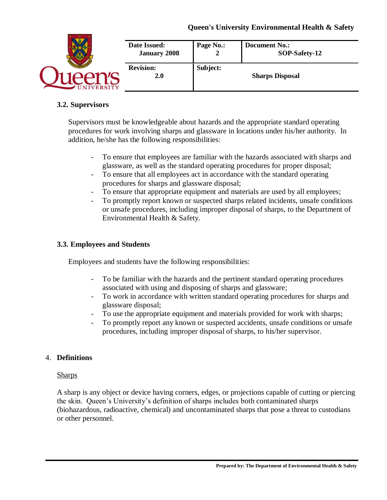|                  | Date Issued:                   | Page No.: | <b>Document No.:</b>   |
|------------------|--------------------------------|-----------|------------------------|
|                  | <b>January 2008</b>            | ◢         | SOP-Safety-12          |
| <b>JIVERSITY</b> | <b>Revision:</b><br><b>2.0</b> | Subject:  | <b>Sharps Disposal</b> |

# **3.2. Supervisors**

Supervisors must be knowledgeable about hazards and the appropriate standard operating procedures for work involving sharps and glassware in locations under his/her authority. In addition, he/she has the following responsibilities:

- To ensure that employees are familiar with the hazards associated with sharps and glassware, as well as the standard operating procedures for proper disposal;
- To ensure that all employees act in accordance with the standard operating procedures for sharps and glassware disposal;
- To ensure that appropriate equipment and materials are used by all employees;
- To promptly report known or suspected sharps related incidents, unsafe conditions or unsafe procedures, including improper disposal of sharps, to the Department of Environmental Health & Safety.

### **3.3. Employees and Students**

Employees and students have the following responsibilities:

- To be familiar with the hazards and the pertinent standard operating procedures associated with using and disposing of sharps and glassware;
- To work in accordance with written standard operating procedures for sharps and glassware disposal;
- To use the appropriate equipment and materials provided for work with sharps;
- To promptly report any known or suspected accidents, unsafe conditions or unsafe procedures, including improper disposal of sharps, to his/her supervisor.

### 4. **Definitions**

#### **Sharps**

A sharp is any object or device having corners, edges, or projections capable of cutting or piercing the skin. Queen's University's definition of sharps includes both contaminated sharps (biohazardous, radioactive, chemical) and uncontaminated sharps that pose a threat to custodians or other personnel.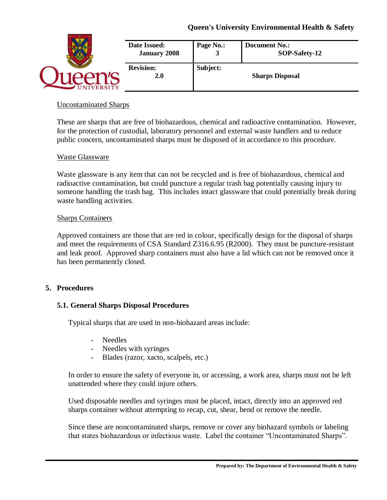|               | Date Issued:<br><b>January 2008</b> | Page No.: | <b>Document No.:</b><br>SOP-Safety-12 |
|---------------|-------------------------------------|-----------|---------------------------------------|
| <b>ERSITY</b> | <b>Revision:</b><br><b>2.0</b>      | Subject:  | <b>Sharps Disposal</b>                |

### Uncontaminated Sharps

These are sharps that are free of biohazardous, chemical and radioactive contamination. However, for the protection of custodial, laboratory personnel and external waste handlers and to reduce public concern, uncontaminated sharps must be disposed of in accordance to this procedure.

#### Waste Glassware

Waste glassware is any item that can not be recycled and is free of biohazardous, chemical and radioactive contamination, but could puncture a regular trash bag potentially causing injury to someone handling the trash bag. This includes intact glassware that could potentially break during waste handling activities.

#### Sharps Containers

Approved containers are those that are red in colour, specifically design for the disposal of sharps and meet the requirements of CSA Standard Z316.6.95 (R2000). They must be puncture-resistant and leak proof. Approved sharp containers must also have a lid which can not be removed once it has been permanently closed.

#### **5. Procedures**

#### **5.1. General Sharps Disposal Procedures**

Typical sharps that are used in non-biohazard areas include:

- Needles
- Needles with syringes
- Blades (razor, xacto, scalpels, etc.)

In order to ensure the safety of everyone in, or accessing, a work area, sharps must not be left unattended where they could injure others.

Used disposable needles and syringes must be placed, intact, directly into an approved red sharps container without attempting to recap, cut, shear, bend or remove the needle.

Since these are noncontaminated sharps, remove or cover any biohazard symbols or labeling that states biohazardous or infectious waste. Label the container "Uncontaminated Sharps".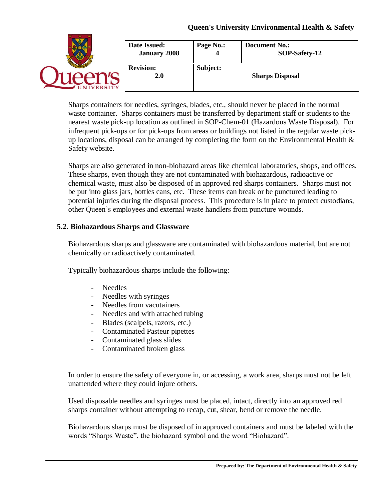|                 | Date Issued:<br><b>January 2008</b> | Page No.: | <b>Document No.:</b><br>SOP-Safety-12 |
|-----------------|-------------------------------------|-----------|---------------------------------------|
| <b>IVERSITY</b> | <b>Revision:</b><br><b>2.0</b>      | Subject:  | <b>Sharps Disposal</b>                |

Sharps containers for needles, syringes, blades, etc., should never be placed in the normal waste container. Sharps containers must be transferred by department staff or students to the nearest waste pick-up location as outlined in SOP-Chem-01 (Hazardous Waste Disposal). For infrequent pick-ups or for pick-ups from areas or buildings not listed in the regular waste pickup locations, disposal can be arranged by completing the form on the Environmental Health  $\&$ Safety website.

Sharps are also generated in non-biohazard areas like chemical laboratories, shops, and offices. These sharps, even though they are not contaminated with biohazardous, radioactive or chemical waste, must also be disposed of in approved red sharps containers. Sharps must not be put into glass jars, bottles cans, etc. These items can break or be punctured leading to potential injuries during the disposal process. This procedure is in place to protect custodians, other Queen's employees and external waste handlers from puncture wounds.

### **5.2. Biohazardous Sharps and Glassware**

Biohazardous sharps and glassware are contaminated with biohazardous material, but are not chemically or radioactively contaminated.

Typically biohazardous sharps include the following:

- Needles
- Needles with syringes
- Needles from vacutainers
- Needles and with attached tubing
- Blades (scalpels, razors, etc.)
- Contaminated Pasteur pipettes
- Contaminated glass slides
- Contaminated broken glass

In order to ensure the safety of everyone in, or accessing, a work area, sharps must not be left unattended where they could injure others.

Used disposable needles and syringes must be placed, intact, directly into an approved red sharps container without attempting to recap, cut, shear, bend or remove the needle.

Biohazardous sharps must be disposed of in approved containers and must be labeled with the words "Sharps Waste", the biohazard symbol and the word "Biohazard".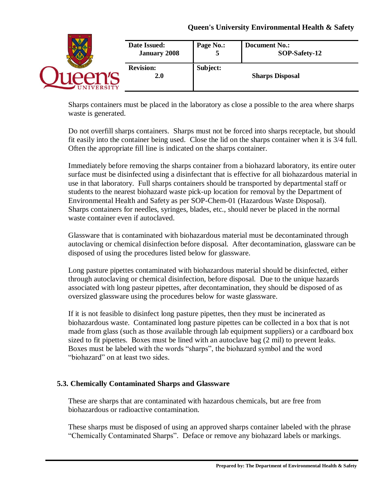|                  | Date Issued:                   | Page No.: | <b>Document No.:</b>   |
|------------------|--------------------------------|-----------|------------------------|
|                  | <b>January 2008</b>            | Э         | SOP-Safety-12          |
| <b>NIVERSITY</b> | <b>Revision:</b><br><b>2.0</b> | Subject:  | <b>Sharps Disposal</b> |

Sharps containers must be placed in the laboratory as close a possible to the area where sharps waste is generated.

Do not overfill sharps containers. Sharps must not be forced into sharps receptacle, but should fit easily into the container being used. Close the lid on the sharps container when it is 3/4 full. Often the appropriate fill line is indicated on the sharps container.

Immediately before removing the sharps container from a biohazard laboratory, its entire outer surface must be disinfected using a disinfectant that is effective for all biohazardous material in use in that laboratory. Full sharps containers should be transported by departmental staff or students to the nearest biohazard waste pick-up location for removal by the Department of Environmental Health and Safety as per SOP-Chem-01 (Hazardous Waste Disposal). Sharps containers for needles, syringes, blades, etc., should never be placed in the normal waste container even if autoclaved.

Glassware that is contaminated with biohazardous material must be decontaminated through autoclaving or chemical disinfection before disposal. After decontamination, glassware can be disposed of using the procedures listed below for glassware.

Long pasture pipettes contaminated with biohazardous material should be disinfected, either through autoclaving or chemical disinfection, before disposal. Due to the unique hazards associated with long pasteur pipettes, after decontamination, they should be disposed of as oversized glassware using the procedures below for waste glassware.

If it is not feasible to disinfect long pasture pipettes, then they must be incinerated as biohazardous waste. Contaminated long pasture pipettes can be collected in a box that is not made from glass (such as those available through lab equipment suppliers) or a cardboard box sized to fit pipettes. Boxes must be lined with an autoclave bag (2 mil) to prevent leaks. Boxes must be labeled with the words "sharps", the biohazard symbol and the word "biohazard" on at least two sides.

### **5.3. Chemically Contaminated Sharps and Glassware**

These are sharps that are contaminated with hazardous chemicals, but are free from biohazardous or radioactive contamination.

These sharps must be disposed of using an approved sharps container labeled with the phrase "Chemically Contaminated Sharps". Deface or remove any biohazard labels or markings.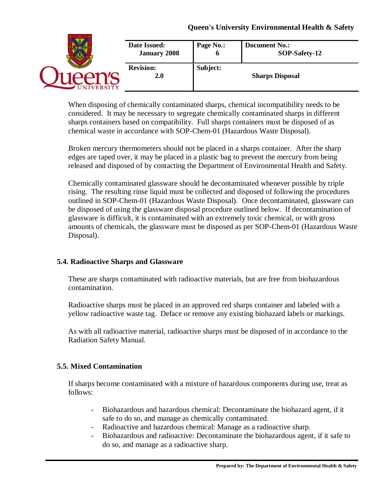|                 | Date Issued:<br><b>January 2008</b> | Page No.: | <b>Document No.:</b><br>SOP-Safety-12 |
|-----------------|-------------------------------------|-----------|---------------------------------------|
| <b>IVERSITY</b> | <b>Revision:</b><br><b>2.0</b>      | Subject:  | <b>Sharps Disposal</b>                |

When disposing of chemically contaminated sharps, chemical incompatibility needs to be considered. It may be necessary to segregate chemically contaminated sharps in different sharps containers based on compatibility. Full sharps containers must be disposed of as chemical waste in accordance with SOP-Chem-01 (Hazardous Waste Disposal).

Broken mercury thermometers should not be placed in a sharps container. After the sharp edges are taped over, it may be placed in a plastic bag to prevent the mercury from being released and disposed of by contacting the Department of Environmental Health and Safety.

Chemically contaminated glassware should be decontaminated whenever possible by triple rising. The resulting rinse liquid must be collected and disposed of following the procedures outlined in SOP-Chem-01 (Hazardous Waste Disposal). Once decontaminated, glassware can be disposed of using the glassware disposal procedure outlined below. If decontamination of glassware is difficult, it is contaminated with an extremely toxic chemical, or with gross amounts of chemicals, the glassware must be disposed as per SOP-Chem-01 (Hazardous Waste Disposal).

### **5.4. Radioactive Sharps and Glassware**

These are sharps contaminated with radioactive materials, but are free from biohazardous contamination.

Radioactive sharps must be placed in an approved red sharps container and labeled with a yellow radioactive waste tag. Deface or remove any existing biohazard labels or markings.

As with all radioactive material, radioactive sharps must be disposed of in accordance to the Radiation Safety Manual.

# **5.5. Mixed Contamination**

If sharps become contaminated with a mixture of hazardous components during use, treat as follows:

- Biohazardous and hazardous chemical: Decontaminate the biohazard agent, if it safe to do so, and manage as chemically contaminated.
- Radioactive and hazardous chemical: Manage as a radioactive sharp.
- Biohazardous and radioactive: Decontaminate the biohazardous agent, if it safe to do so, and manage as a radioactive sharp.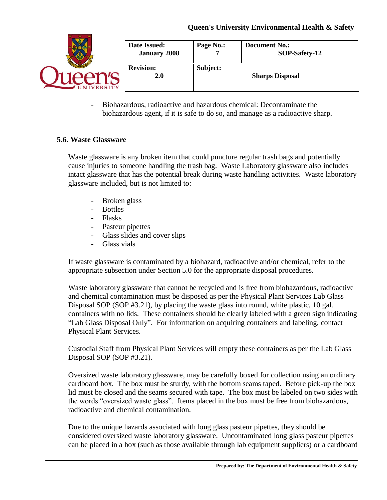

- Biohazardous, radioactive and hazardous chemical: Decontaminate the biohazardous agent, if it is safe to do so, and manage as a radioactive sharp.

### **5.6. Waste Glassware**

Waste glassware is any broken item that could puncture regular trash bags and potentially cause injuries to someone handling the trash bag. Waste Laboratory glassware also includes intact glassware that has the potential break during waste handling activities. Waste laboratory glassware included, but is not limited to:

- Broken glass
- Bottles
- Flasks
- Pasteur pipettes
- Glass slides and cover slips
- Glass vials

If waste glassware is contaminated by a biohazard, radioactive and/or chemical, refer to the appropriate subsection under Section 5.0 for the appropriate disposal procedures.

Waste laboratory glassware that cannot be recycled and is free from biohazardous, radioactive and chemical contamination must be disposed as per the Physical Plant Services Lab Glass Disposal SOP (SOP #3.21), by placing the waste glass into round, white plastic, 10 gal. containers with no lids. These containers should be clearly labeled with a green sign indicating "Lab Glass Disposal Only". For information on acquiring containers and labeling, contact Physical Plant Services.

Custodial Staff from Physical Plant Services will empty these containers as per the Lab Glass Disposal SOP (SOP #3.21).

Oversized waste laboratory glassware, may be carefully boxed for collection using an ordinary cardboard box. The box must be sturdy, with the bottom seams taped. Before pick-up the box lid must be closed and the seams secured with tape. The box must be labeled on two sides with the words "oversized waste glass". Items placed in the box must be free from biohazardous, radioactive and chemical contamination.

Due to the unique hazards associated with long glass pasteur pipettes, they should be considered oversized waste laboratory glassware. Uncontaminated long glass pasteur pipettes can be placed in a box (such as those available through lab equipment suppliers) or a cardboard